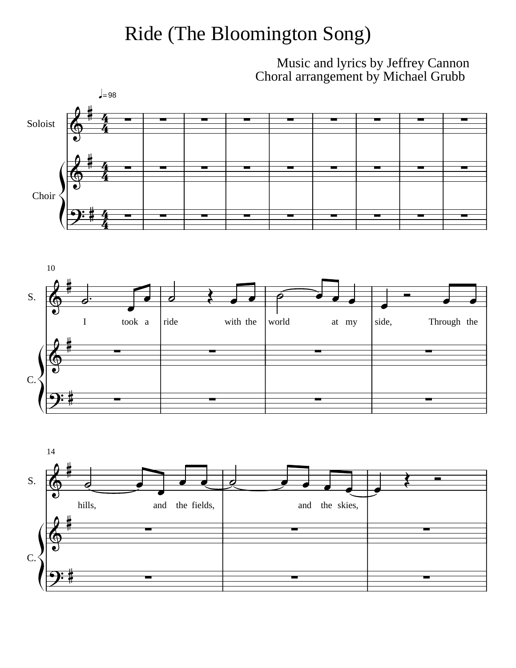## Ride (The Bloomington Song)

Music and lyrics by Jeffrey Cannon Choral arrangement by Michael Grubb





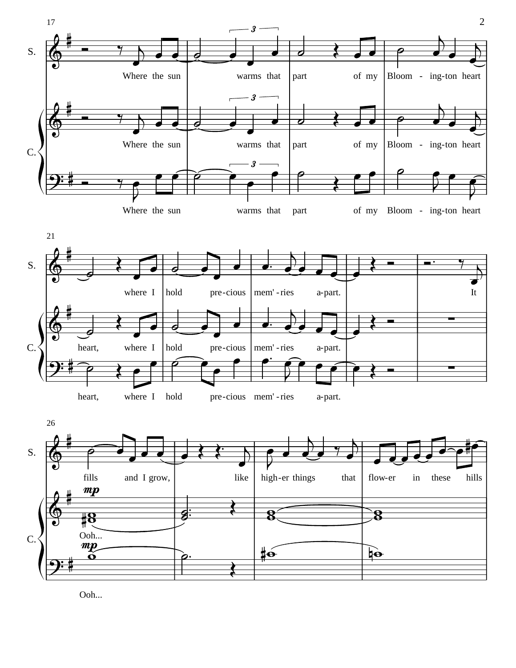





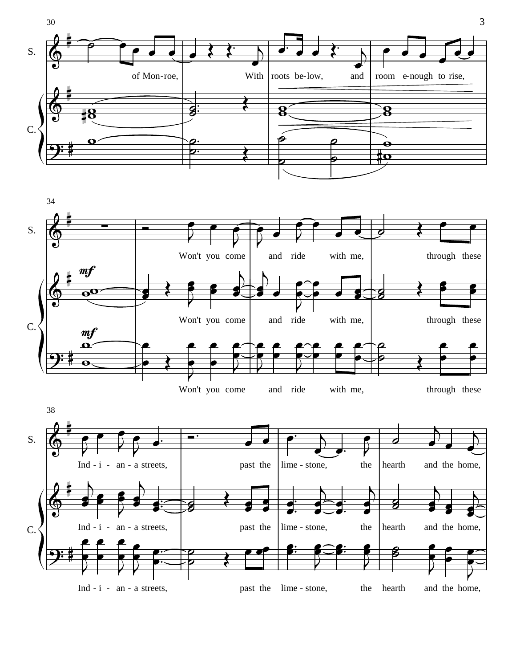





3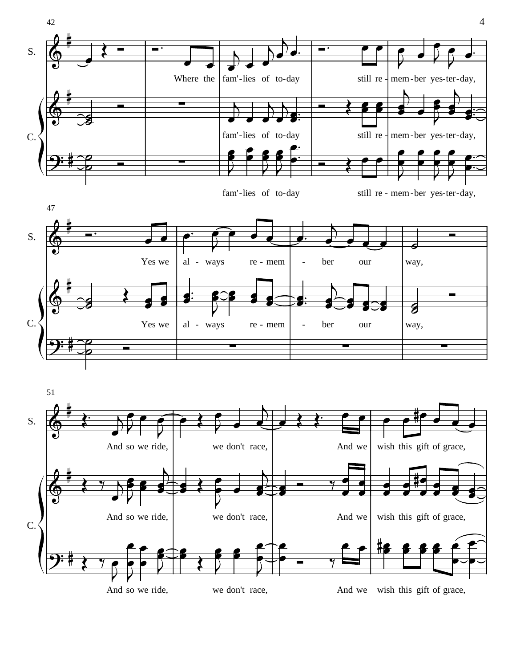